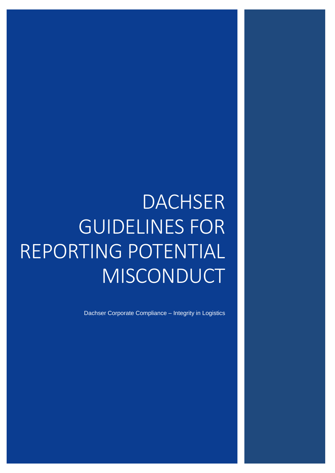# **DACHSER** GUIDELINES FOR REPORTING POTENTIAL MISCONDUCT

Dachser Corporate Compliance – Integrity in Logistics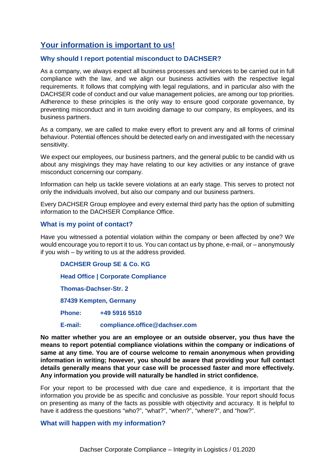## **Your information is important to us!**

### **Why should I report potential misconduct to DACHSER?**

As a company, we always expect all business processes and services to be carried out in full compliance with the law, and we align our business activities with the respective legal requirements. It follows that complying with legal regulations, and in particular also with the DACHSER code of conduct and our value management policies, are among our top priorities. Adherence to these principles is the only way to ensure good corporate governance, by preventing misconduct and in turn avoiding damage to our company, its employees, and its business partners.

As a company, we are called to make every effort to prevent any and all forms of criminal behaviour. Potential offences should be detected early on and investigated with the necessary sensitivity.

We expect our employees, our business partners, and the general public to be candid with us about any misgivings they may have relating to our key activities or any instance of grave misconduct concerning our company.

Information can help us tackle severe violations at an early stage. This serves to protect not only the individuals involved, but also our company and our business partners.

Every DACHSER Group employee and every external third party has the option of submitting information to the DACHSER Compliance Office.

### **What is my point of contact?**

Have you witnessed a potential violation within the company or been affected by one? We would encourage you to report it to us. You can contact us by phone, e-mail, or – anonymously if you wish – by writing to us at the address provided.

#### **DACHSER Group SE & Co. KG**

**Head Office | Corporate Compliance**

**Thomas-Dachser-Str. 2**

**87439 Kempten, Germany**

**Phone: +49 5916 5510**

#### **E-mail: [compliance.office@dachser.com](mailto:compliance.office@dachser.com)**

**No matter whether you are an employee or an outside observer, you thus have the means to report potential compliance violations within the company or indications of same at any time. You are of course welcome to remain anonymous when providing information in writing; however, you should be aware that providing your full contact details generally means that your case will be processed faster and more effectively. Any information you provide will naturally be handled in strict confidence.** 

For your report to be processed with due care and expedience, it is important that the information you provide be as specific and conclusive as possible. Your report should focus on presenting as many of the facts as possible with objectivity and accuracy. It is helpful to have it address the questions "who?", "what?", "when?", "where?", and "how?".

#### **What will happen with my information?**